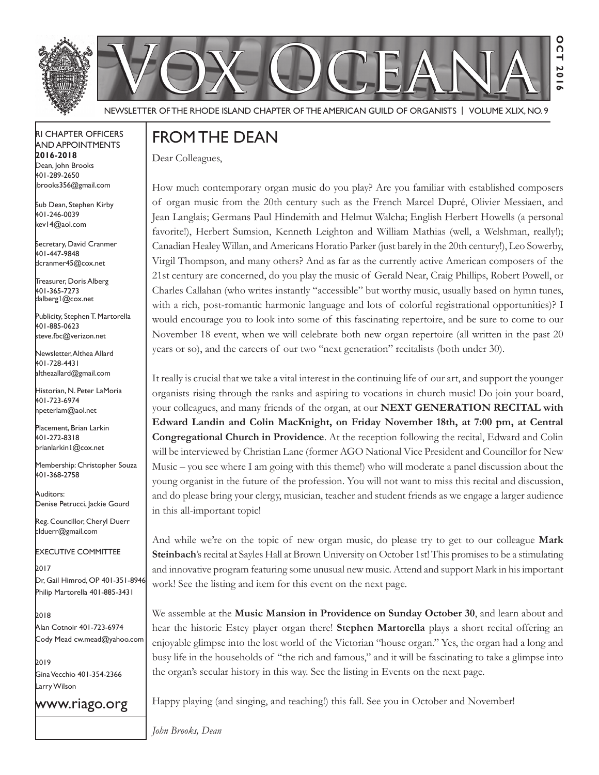



**Oct 2016**

**20** 

O  $\overline{0}$ 

NEWSLETTER OF THE RHODE ISLAND CHAPTER OF THE AMERICAN GUILD OF ORGANISTS | VOLUME XLIX, NO. 9

### rI Chapter offICers aNd appoINtmeNts

**2016-2018** Dean, John Brooks 401-289-2650 jbrooks356@gmail.com

Sub Dean, Stephen Kirby 401-246-0039 kev14@aol.com

Secretary, David Cranmer 401-447-9848 dcranmer45@cox.net

Treasurer, Doris Alberg 401-365-7273 dalberg1@cox.net I

Publicity, Stephen T. Martorella 401-885-0623 steve.fbc@verizon.net

Newsletter, Althea Allard 401-728-4431 altheaallard@gmail.com

historian, N. peter lamoria 401-723-6974 npeterlam@aol.net

placement, Brian larkin 401-272-8318 brianlarkin1@cox.net

Membership: Christopher Souza 401-368-2758

auditors: Denise Petrucci, Jackie Gourd

Reg. Councillor, Cheryl Duerr clduerr@gmail.com

eXeCutIVe CommIttee

2017 Dr, Gail Himrod, OP 401-351-8946 Philip Martorella 401-885-3431

2018 alan Cotnoir 401-723-6974 Cody Mead cw.mead@yahoo.com

2019 Gina Vecchio 401-354-2366 Larry Wilson

www.riago.org

## from the deaN

Dear Colleagues,

How much contemporary organ music do you play? Are you familiar with established composers of organ music from the 20th century such as the French Marcel Dupré, Olivier Messiaen, and Jean Langlais; Germans Paul Hindemith and Helmut Walcha; English Herbert Howells (a personal favorite!), Herbert Sumsion, Kenneth Leighton and William Mathias (well, a Welshman, really!); Canadian Healey Willan, and Americans Horatio Parker (just barely in the 20th century!), Leo Sowerby, Virgil Thompson, and many others? And as far as the currently active American composers of the 21st century are concerned, do you play the music of Gerald Near, Craig Phillips, Robert Powell, or Charles Callahan (who writes instantly "accessible" but worthy music, usually based on hymn tunes, with a rich, post-romantic harmonic language and lots of colorful registrational opportunities)? I would encourage you to look into some of this fascinating repertoire, and be sure to come to our November 18 event, when we will celebrate both new organ repertoire (all written in the past 20 years or so), and the careers of our two "next generation" recitalists (both under 30).

It really is crucial that we take a vital interest in the continuing life of our art, and support the younger organists rising through the ranks and aspiring to vocations in church music! Do join your board, your colleagues, and many friends of the organ, at our **NEXT GENERATION RECITAL with Edward Landin and Colin MacKnight, on Friday November 18th, at 7:00 pm, at Central Congregational Church in Providence**. At the reception following the recital, Edward and Colin will be interviewed by Christian Lane (former AGO National Vice President and Councillor for New Music – you see where I am going with this theme!) who will moderate a panel discussion about the young organist in the future of the profession. You will not want to miss this recital and discussion, and do please bring your clergy, musician, teacher and student friends as we engage a larger audience in this all-important topic!

And while we're on the topic of new organ music, do please try to get to our colleague **Mark Steinbach**'s recital at Sayles Hall at Brown University on October 1st! This promises to be a stimulating and innovative program featuring some unusual new music. Attend and support Mark in his important work! See the listing and item for this event on the next page.

We assemble at the **Music Mansion in Providence on Sunday October 30**, and learn about and hear the historic Estey player organ there! **Stephen Martorella** plays a short recital offering an enjoyable glimpse into the lost world of the Victorian "house organ." Yes, the organ had a long and busy life in the households of "the rich and famous," and it will be fascinating to take a glimpse into the organ's secular history in this way. See the listing in Events on the next page.

Happy playing (and singing, and teaching!) this fall. See you in October and November!

*John Brooks, Dean*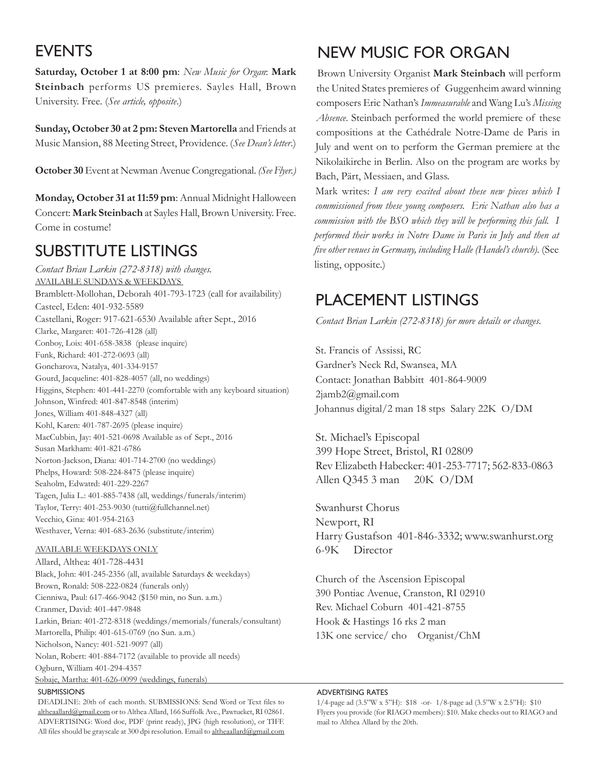## **EVENTS**

**Saturday, October 1 at 8:00 pm**: *New Music for Organ*: **Mark Steinbach** performs US premieres. Sayles Hall, Brown University. Free. (*See article, opposite*.)

**Sunday, October 30 at 2 pm: Steven Martorella** and Friends at Music Mansion, 88 Meeting Street, Providence. (*See Dean's letter*.)

**October 30** Event at Newman Avenue Congregational. *(See Flyer.)*

**Monday, October 31 at 11:59 pm**: Annual Midnight Halloween Concert: **Mark Steinbach** at Sayles Hall, Brown University. Free. Come in costume!

## **SUBSTITUTE LISTINGS**

*Contact Brian Larkin (272-8318) with changes.* AVAILABLE SUNDAYS & WEEKDAYS Bramblett-Mollohan, Deborah 401-793-1723 (call for availability) Casteel, Eden: 401-932-5589 Castellani, Roger: 917-621-6530 Available after Sept., 2016 Clarke, Margaret: 401-726-4128 (all) Conboy, Lois: 401-658-3838 (please inquire) Funk, Richard: 401-272-0693 (all) Goncharova, Natalya, 401-334-9157 Gourd, Jacqueline: 401-828-4057 (all, no weddings) Higgins, Stephen: 401-441-2270 (comfortable with any keyboard situation) Johnson, Winfred: 401-847-8548 (interim) Jones, William 401-848-4327 (all) Kohl, Karen: 401-787-2695 (please inquire) MacCubbin, Jay: 401-521-0698 Available as of Sept., 2016 Susan Markham: 401-821-6786 Norton-Jackson, Diana: 401-714-2700 (no weddings) Phelps, Howard: 508-224-8475 (please inquire) Seaholm, Edwatrd: 401-229-2267 Tagen, Julia L.: 401-885-7438 (all, weddings/funerals/interim) Taylor, Terry: 401-253-9030 (tutti@fullchannel.net) Vecchio, Gina: 401-954-2163 Westhaver, Verna: 401-683-2636 (substitute/interim)

#### AVAILABLE WEEKDAYS ONLY

Allard, Althea: 401-728-4431 Black, John: 401-245-2356 (all, available Saturdays & weekdays) Brown, Ronald: 508-222-0824 (funerals only) Cienniwa, Paul: 617-466-9042 (\$150 min, no Sun. a.m.) Cranmer, David: 401-447-9848 Larkin, Brian: 401-272-8318 (weddings/memorials/funerals/consultant) Martorella, Philip: 401-615-0769 (no Sun. a.m.) Nicholson, Nancy: 401-521-9097 (all) Nolan, Robert: 401-884-7172 (available to provide all needs) Ogburn, William 401-294-4357 Sobaje, Martha: 401-626-0099 (weddings, funerals)

#### **SUBMISSIONS**

DEADLINE: 20th of each month. SUBMISSIONS: Send Word or Text fles to altheaallard@gmail.com or to Althea Allard, 166 Suffolk Ave., Pawtucket, RI 02861. ADVERTISING: Word doc, PDF (print ready), JPG (high resolution), or TIFF. All files should be grayscale at 300 dpi resolution. Email to altheaallard@gmail.com

# New musIC for orGaN

Brown University Organist **Mark Steinbach** will perform the United States premieres of Guggenheim award winning composers Eric Nathan's *Immeasurable* and Wang Lu's *Missing Absence*. Steinbach performed the world premiere of these compositions at the Cathédrale Notre-Dame de Paris in July and went on to perform the German premiere at the Nikolaikirche in Berlin. Also on the program are works by Bach, Pärt, Messiaen, and Glass.

Mark writes: *I am very excited about these new pieces which I commissioned from these young composers. Eric Nathan also has a commission with the BSO which they will be performing this fall. I performed their works in Notre Dame in Paris in July and then at fve other venues in Germany, including Halle (Handel's church).* (See listing, opposite.)

## plaCemeNt lIstINGs

*Contact Brian Larkin (272-8318) for more details or changes.*

St. Francis of Assissi, RC Gardner's Neck Rd, Swansea, MA Contact: Jonathan Babbitt 401-864-9009 2jamb2@gmail.com Johannus digital/2 man 18 stps Salary 22K O/DM

St. Michael's Episcopal 399 Hope Street, Bristol, RI 02809 Rev Elizabeth Habecker: 401-253-7717; 562-833-0863 Allen Q345 3 man 20K O/DM

Swanhurst Chorus Newport, RI Harry Gustafson 401-846-3332; www.swanhurst.org 6-9K Director

Church of the Ascension Episcopal 390 Pontiac Avenue, Cranston, RI 02910 Rev. Michael Coburn 401-421-8755 Hook & Hastings 16 rks 2 man 13K one service/ cho Organist/ChM

### adVertIsING rates

1/4-page ad (3.5"W x 5"H): \$18 -or- 1/8-page ad (3.5"W x 2.5"H): \$10 Flyers you provide (for RIAGO members): \$10. Make checks out to RIAGO and mail to Althea Allard by the 20th.